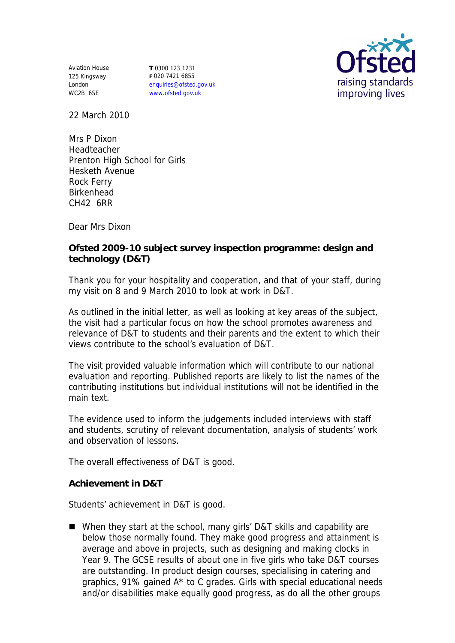Aviation House 125 Kingsway London WC2B 6SE

**T** 0300 123 1231 **F** 020 7421 6855 enquiries@ofsted.gov.uk www.ofsted.gov.uk



22 March 2010

Mrs P Dixon Headteacher Prenton High School for Girls Hesketh Avenue Rock Ferry Birkenhead CH42 6RR

Dear Mrs Dixon

**Ofsted 2009-10 subject survey inspection programme: design and technology (D&T)**

Thank you for your hospitality and cooperation, and that of your staff, during my visit on 8 and 9 March 2010 to look at work in D&T.

As outlined in the initial letter, as well as looking at key areas of the subject, the visit had a particular focus on how the school promotes awareness and relevance of D&T to students and their parents and the extent to which their views contribute to the school's evaluation of D&T.

The visit provided valuable information which will contribute to our national evaluation and reporting. Published reports are likely to list the names of the contributing institutions but individual institutions will not be identified in the main text.

The evidence used to inform the judgements included interviews with staff and students, scrutiny of relevant documentation, analysis of students' work and observation of lessons.

The overall effectiveness of D&T is good.

**Achievement in D&T**

Students' achievement in D&T is good.

■ When they start at the school, many girls' D&T skills and capability are below those normally found. They make good progress and attainment is average and above in projects, such as designing and making clocks in Year 9. The GCSE results of about one in five girls who take D&T courses are outstanding. In product design courses, specialising in catering and graphics, 91% gained A\* to C grades. Girls with special educational needs and/or disabilities make equally good progress, as do all the other groups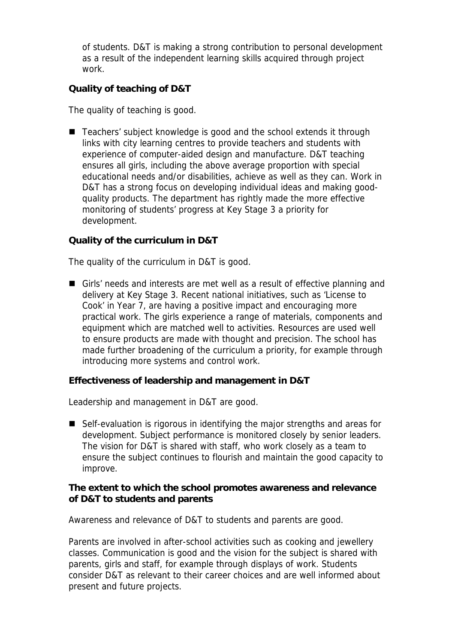of students. D&T is making a strong contribution to personal development as a result of the independent learning skills acquired through project work.

## **Quality of teaching of D&T**

The quality of teaching is good.

■ Teachers' subject knowledge is good and the school extends it through links with city learning centres to provide teachers and students with experience of computer-aided design and manufacture. D&T teaching ensures all girls, including the above average proportion with special educational needs and/or disabilities, achieve as well as they can. Work in D&T has a strong focus on developing individual ideas and making goodquality products. The department has rightly made the more effective monitoring of students' progress at Key Stage 3 a priority for development.

**Quality of the curriculum in D&T**

The quality of the curriculum in D&T is good.

Girls' needs and interests are met well as a result of effective planning and delivery at Key Stage 3. Recent national initiatives, such as 'License to Cook' in Year 7, are having a positive impact and encouraging more practical work. The girls experience a range of materials, components and equipment which are matched well to activities. Resources are used well to ensure products are made with thought and precision. The school has made further broadening of the curriculum a priority, for example through introducing more systems and control work.

**Effectiveness of leadership and management in D&T**

Leadership and management in D&T are good.

■ Self-evaluation is rigorous in identifying the major strengths and areas for development. Subject performance is monitored closely by senior leaders. The vision for D&T is shared with staff, who work closely as a team to ensure the subject continues to flourish and maintain the good capacity to improve.

**The extent to which the school promotes awareness and relevance of D&T to students and parents**

Awareness and relevance of D&T to students and parents are good.

Parents are involved in after-school activities such as cooking and jewellery classes. Communication is good and the vision for the subject is shared with parents, girls and staff, for example through displays of work. Students consider D&T as relevant to their career choices and are well informed about present and future projects.